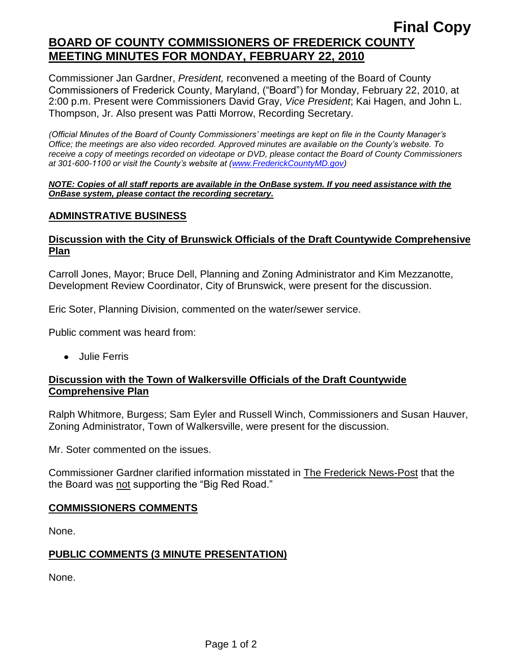# **Final Copy BOARD OF COUNTY COMMISSIONERS OF FREDERICK COUNTY MEETING MINUTES FOR MONDAY, FEBRUARY 22, 2010**

Commissioner Jan Gardner, *President,* reconvened a meeting of the Board of County Commissioners of Frederick County, Maryland, ("Board") for Monday, February 22, 2010, at 2:00 p.m. Present were Commissioners David Gray, *Vice President*; Kai Hagen, and John L. Thompson, Jr. Also present was Patti Morrow, Recording Secretary.

*(Official Minutes of the Board of County Commissioners' meetings are kept on file in the County Manager's Office; the meetings are also video recorded. Approved minutes are available on the County's website. To receive a copy of meetings recorded on videotape or DVD, please contact the Board of County Commissioners at 301-600-1100 or visit the County's website at [\(www.FrederickCountyMD.gov\)](http://www.frederickcountymd.gov/)*

#### *NOTE: Copies of all staff reports are available in the OnBase system. If you need assistance with the OnBase system, please contact the recording secretary.*

#### **ADMINSTRATIVE BUSINESS**

### **Discussion with the City of Brunswick Officials of the Draft Countywide Comprehensive Plan**

Carroll Jones, Mayor; Bruce Dell, Planning and Zoning Administrator and Kim Mezzanotte, Development Review Coordinator, City of Brunswick, were present for the discussion.

Eric Soter, Planning Division, commented on the water/sewer service.

Public comment was heard from:

Julie Ferris

#### **Discussion with the Town of Walkersville Officials of the Draft Countywide Comprehensive Plan**

Ralph Whitmore, Burgess; Sam Eyler and Russell Winch, Commissioners and Susan Hauver, Zoning Administrator, Town of Walkersville, were present for the discussion.

Mr. Soter commented on the issues.

Commissioner Gardner clarified information misstated in The Frederick News-Post that the the Board was not supporting the "Big Red Road."

#### **COMMISSIONERS COMMENTS**

None.

#### **PUBLIC COMMENTS (3 MINUTE PRESENTATION)**

None.